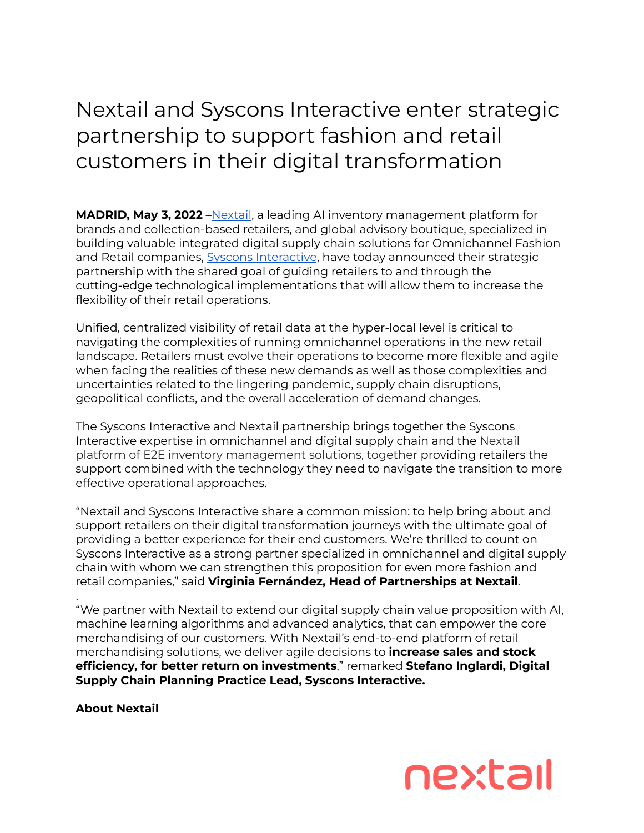## Nextail and Syscons Interactive enter strategic partnership to support fashion and retail customers in their digital transformation

**MADRID, May 3, 2022** – Nextail, a leading AI inventory management platform for brands and collection-based retailers, and global advisory boutique, specialized in building valuable integrated digital supply chain solutions for Omnichannel Fashion and Retail companies, Syscons [Interactive](https://syscons-interactive.com/), have today announced their strategic partnership with the shared goal of guiding retailers to and through the cutting-edge technological implementations that will allow them to increase the flexibility of their retail operations.

Unified, centralized visibility of retail data at the hyper-local level is critical to navigating the complexities of running omnichannel operations in the new retail landscape. Retailers must evolve their operations to become more flexible and agile when facing the realities of these new demands as well as those complexities and uncertainties related to the lingering pandemic, supply chain disruptions, geopolitical conflicts, and the overall acceleration of demand changes.

The Syscons Interactive and Nextail partnership brings together the Syscons Interactive expertise in omnichannel and digital supply chain and the Nextail platform of E2E inventory management solutions, together providing retailers the support combined with the technology they need to navigate the transition to more effective operational approaches.

"Nextail and Syscons Interactive share a common mission: to help bring about and support retailers on their digital transformation journeys with the ultimate goal of providing a better experience for their end customers. We're thrilled to count on Syscons Interactive as a strong partner specialized in omnichannel and digital supply chain with whom we can strengthen this proposition for even more fashion and retail companies," said **Virginia Fernández, Head of Partnerships at Nextail**.

. "We partner with Nextail to extend our digital supply chain value proposition with AI, machine learning algorithms and advanced analytics, that can empower the core merchandising of our customers. With Nextail's end-to-end platform of retail merchandising solutions, we deliver agile decisions to **increase sales and stock efficiency, for better return on investments**," remarked **Stefano Inglardi, Digital Supply Chain Planning Practice Lead, Syscons Interactive.**

**About Nextail**